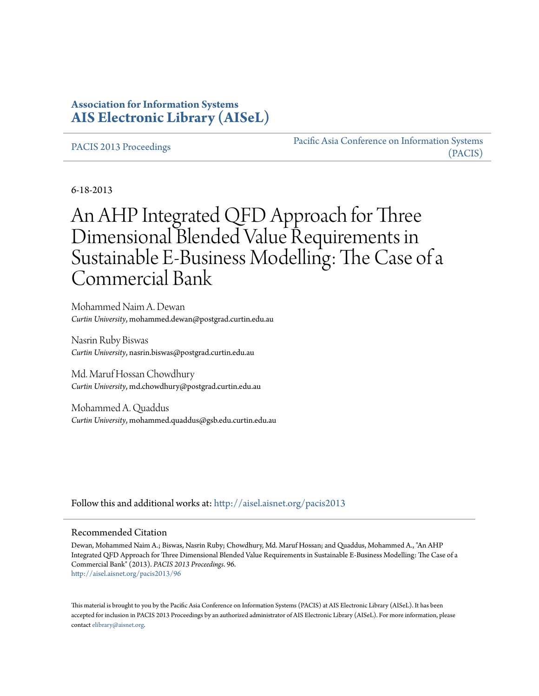# **Association for Information Systems [AIS Electronic Library \(AISeL\)](http://aisel.aisnet.org?utm_source=aisel.aisnet.org%2Fpacis2013%2F96&utm_medium=PDF&utm_campaign=PDFCoverPages)**

[PACIS 2013 Proceedings](http://aisel.aisnet.org/pacis2013?utm_source=aisel.aisnet.org%2Fpacis2013%2F96&utm_medium=PDF&utm_campaign=PDFCoverPages)

[Pacific Asia Conference on Information Systems](http://aisel.aisnet.org/pacis?utm_source=aisel.aisnet.org%2Fpacis2013%2F96&utm_medium=PDF&utm_campaign=PDFCoverPages) [\(PACIS\)](http://aisel.aisnet.org/pacis?utm_source=aisel.aisnet.org%2Fpacis2013%2F96&utm_medium=PDF&utm_campaign=PDFCoverPages)

6-18-2013

# An AHP Integrated QFD Approach for Three Dimensional Blended Value Requirements in Sustainable E-Business Modelling: The Case of a Commercial Bank

Mohammed Naim A. Dewan *Curtin University*, mohammed.dewan@postgrad.curtin.edu.au

Nasrin Ruby Biswas *Curtin University*, nasrin.biswas@postgrad.curtin.edu.au

Md. Maruf Hossan Chowdhury *Curtin University*, md.chowdhury@postgrad.curtin.edu.au

Mohammed A. Quaddus *Curtin University*, mohammed.quaddus@gsb.edu.curtin.edu.au

Follow this and additional works at: [http://aisel.aisnet.org/pacis2013](http://aisel.aisnet.org/pacis2013?utm_source=aisel.aisnet.org%2Fpacis2013%2F96&utm_medium=PDF&utm_campaign=PDFCoverPages)

#### Recommended Citation

Dewan, Mohammed Naim A.; Biswas, Nasrin Ruby; Chowdhury, Md. Maruf Hossan; and Quaddus, Mohammed A., "An AHP Integrated QFD Approach for Three Dimensional Blended Value Requirements in Sustainable E-Business Modelling: The Case of a Commercial Bank" (2013). *PACIS 2013 Proceedings*. 96. [http://aisel.aisnet.org/pacis2013/96](http://aisel.aisnet.org/pacis2013/96?utm_source=aisel.aisnet.org%2Fpacis2013%2F96&utm_medium=PDF&utm_campaign=PDFCoverPages)

This material is brought to you by the Pacific Asia Conference on Information Systems (PACIS) at AIS Electronic Library (AISeL). It has been accepted for inclusion in PACIS 2013 Proceedings by an authorized administrator of AIS Electronic Library (AISeL). For more information, please contact [elibrary@aisnet.org.](mailto:elibrary@aisnet.org%3E)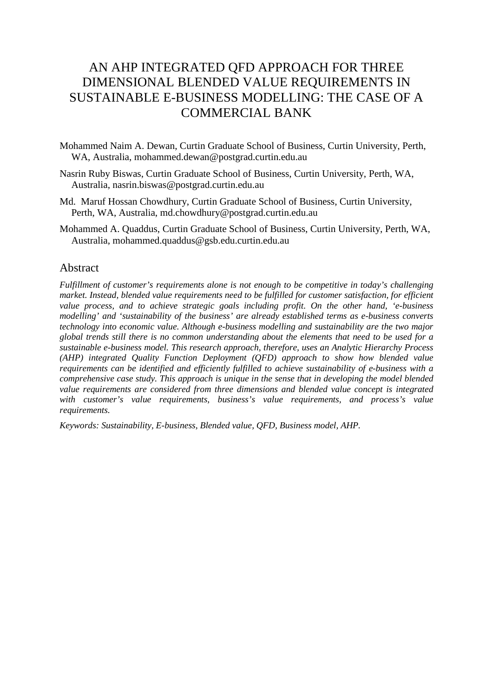# AN AHP INTEGRATED QFD APPROACH FOR THREE DIMENSIONAL BLENDED VALUE REQUIREMENTS IN SUSTAINABLE E-BUSINESS MODELLING: THE CASE OF A COMMERCIAL BANK

- Mohammed Naim A. Dewan, Curtin Graduate School of Business, Curtin University, Perth, WA, Australia, mohammed.dewan@postgrad.curtin.edu.au
- Nasrin Ruby Biswas, Curtin Graduate School of Business, Curtin University, Perth, WA, Australia, nasrin.biswas@postgrad.curtin.edu.au
- Md. Maruf Hossan Chowdhury, Curtin Graduate School of Business, Curtin University, Perth, WA, Australia, md.chowdhury@postgrad.curtin.edu.au
- Mohammed A. Quaddus, Curtin Graduate School of Business, Curtin University, Perth, WA, Australia, mohammed.quaddus@gsb.edu.curtin.edu.au

## Abstract

*Fulfillment of customer's requirements alone is not enough to be competitive in today's challenging market. Instead, blended value requirements need to be fulfilled for customer satisfaction, for efficient value process, and to achieve strategic goals including profit. On the other hand, 'e-business modelling' and 'sustainability of the business' are already established terms as e-business converts technology into economic value. Although e-business modelling and sustainability are the two major global trends still there is no common understanding about the elements that need to be used for a sustainable e-business model. This research approach, therefore, uses an Analytic Hierarchy Process (AHP) integrated Quality Function Deployment (QFD) approach to show how blended value requirements can be identified and efficiently fulfilled to achieve sustainability of e-business with a comprehensive case study. This approach is unique in the sense that in developing the model blended value requirements are considered from three dimensions and blended value concept is integrated with customer's value requirements, business's value requirements, and process's value requirements.* 

*Keywords: Sustainability, E-business, Blended value, QFD, Business model, AHP.*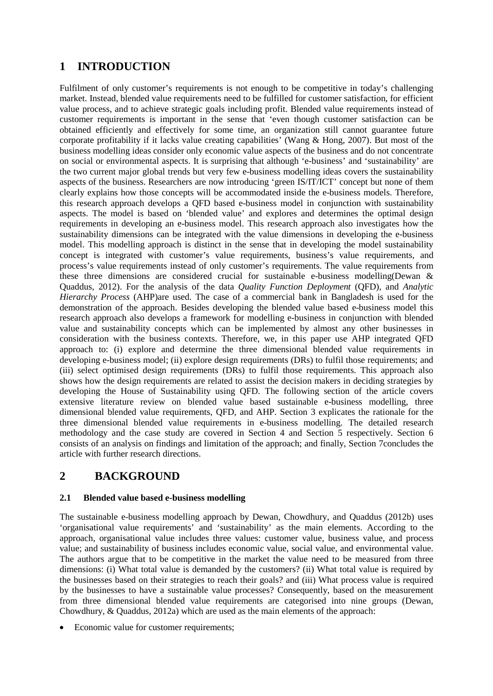# **1 INTRODUCTION**

Fulfilment of only customer's requirements is not enough to be competitive in today's challenging market. Instead, blended value requirements need to be fulfilled for customer satisfaction, for efficient value process, and to achieve strategic goals including profit. Blended value requirements instead of customer requirements is important in the sense that 'even though customer satisfaction can be obtained efficiently and effectively for some time, an organization still cannot guarantee future corporate profitability if it lacks value creating capabilities' [\(Wang & Hong, 2007\)](#page-16-0). But most of the business modelling ideas consider only economic value aspects of the business and do not concentrate on social or environmental aspects. It is surprising that although 'e-business' and 'sustainability' are the two current major global trends but very few e-business modelling ideas covers the sustainability aspects of the business. Researchers are now introducing 'green IS/IT/ICT' concept but none of them clearly explains how those concepts will be accommodated inside the e-business models. Therefore, this research approach develops a QFD based e-business model in conjunction with sustainability aspects. The model is based on 'blended value' and explores and determines the optimal design requirements in developing an e-business model. This research approach also investigates how the sustainability dimensions can be integrated with the value dimensions in developing the e-business model. This modelling approach is distinct in the sense that in developing the model sustainability concept is integrated with customer's value requirements, business's value requirements, and process's value requirements instead of only customer's requirements. The value requirements from these three dimensions are considered crucial for sustainable e-business modelling[\(Dewan &](#page-14-0)  [Quaddus, 2012\)](#page-14-0). For the analysis of the data *Quality Function Deployment* (QFD), and *Analytic Hierarchy Process* (AHP)are used. The case of a commercial bank in Bangladesh is used for the demonstration of the approach. Besides developing the blended value based e-business model this research approach also develops a framework for modelling e-business in conjunction with blended value and sustainability concepts which can be implemented by almost any other businesses in consideration with the business contexts. Therefore, we, in this paper use AHP integrated QFD approach to: (i) explore and determine the three dimensional blended value requirements in developing e-business model; (ii) explore design requirements (DRs) to fulfil those requirements; and (iii) select optimised design requirements (DRs) to fulfil those requirements. This approach also shows how the design requirements are related to assist the decision makers in deciding strategies by developing the House of Sustainability using QFD. The following section of the article covers extensive literature review on blended value based sustainable e-business modelling, three dimensional blended value requirements, QFD, and AHP. Section 3 explicates the rationale for the three dimensional blended value requirements in e-business modelling. The detailed research methodology and the case study are covered in Section 4 and Section 5 respectively. Section 6 consists of an analysis on findings and limitation of the approach; and finally, Section 7concludes the article with further research directions.

# **2 BACKGROUND**

## **2.1 Blended value based e-business modelling**

The sustainable e-business modelling approach by Dewan, Chowdhury, and Quaddus [\(2012b\)](#page-14-1) uses 'organisational value requirements' and 'sustainability' as the main elements. According to the approach, organisational value includes three values: customer value, business value, and process value; and sustainability of business includes economic value, social value, and environmental value. The authors argue that to be competitive in the market the value need to be measured from three dimensions: (i) What total value is demanded by the customers? (ii) What total value is required by the businesses based on their strategies to reach their goals? and (iii) What process value is required by the businesses to have a sustainable value processes? Consequently, based on the measurement from three dimensional blended value requirements are categorised into nine groups [\(Dewan,](#page-14-2)  [Chowdhury, & Quaddus, 2012a\)](#page-14-2) which are used as the main elements of the approach:

• Economic value for customer requirements;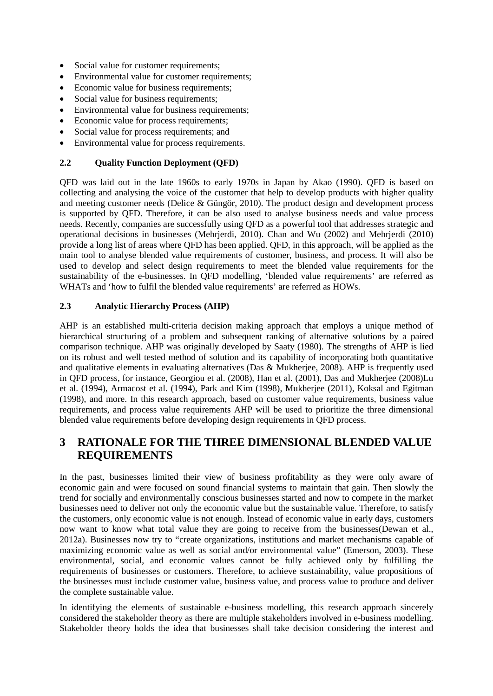- Social value for customer requirements;
- Environmental value for customer requirements;
- Economic value for business requirements;
- Social value for business requirements;
- Environmental value for business requirements;
- Economic value for process requirements;
- Social value for process requirements; and
- Environmental value for process requirements.

## **2.2 Quality Function Deployment (QFD)**

QFD was laid out in the late 1960s to early 1970s in Japan by Akao [\(1990\)](#page-14-3). QFD is based on collecting and analysing the voice of the customer that help to develop products with higher quality and meeting customer needs [\(Delice & Güngör, 2010\)](#page-14-4). The product design and development process is supported by QFD. Therefore, it can be also used to analyse business needs and value process needs. Recently, companies are successfully using QFD as a powerful tool that addresses strategic and operational decisions in businesses [\(Mehrjerdi, 2010\)](#page-15-0). Chan and Wu [\(2002\)](#page-14-5) and Mehrjerdi [\(2010\)](#page-15-0) provide a long list of areas where QFD has been applied. QFD, in this approach, will be applied as the main tool to analyse blended value requirements of customer, business, and process. It will also be used to develop and select design requirements to meet the blended value requirements for the sustainability of the e-businesses. In QFD modelling, 'blended value requirements' are referred as WHATs and 'how to fulfil the blended value requirements' are referred as HOWs.

### **2.3 Analytic Hierarchy Process (AHP)**

AHP is an established multi-criteria decision making approach that employs a unique method of hierarchical structuring of a problem and subsequent ranking of alternative solutions by a paired comparison technique. AHP was originally developed by Saaty [\(1980\)](#page-15-1). The strengths of AHP is lied on its robust and well tested method of solution and its capability of incorporating both quantitative and qualitative elements in evaluating alternatives [\(Das & Mukherjee, 2008\)](#page-14-6). AHP is frequently used in QFD process, for instance, Georgiou et al. [\(2008\)](#page-15-2), Han et al. [\(2001\)](#page-15-3), Das and Mukherjee [\(2008\)](#page-14-6)Lu et al. [\(1994\)](#page-15-4), Armacost et al. [\(1994\)](#page-14-7), Park and Kim [\(1998\)](#page-15-5), Mukherjee [\(2011\)](#page-15-6), Koksal and Egitman [\(1998\)](#page-15-7), and more. In this research approach, based on customer value requirements, business value requirements, and process value requirements AHP will be used to prioritize the three dimensional blended value requirements before developing design requirements in QFD process.

# **3 RATIONALE FOR THE THREE DIMENSIONAL BLENDED VALUE REQUIREMENTS**

In the past, businesses limited their view of business profitability as they were only aware of economic gain and were focused on sound financial systems to maintain that gain. Then slowly the trend for socially and environmentally conscious businesses started and now to compete in the market businesses need to deliver not only the economic value but the sustainable value. Therefore, to satisfy the customers, only economic value is not enough. Instead of economic value in early days, customers now want to know what total value they are going to receive from the businesses[\(Dewan et al.,](#page-14-2)  [2012a\)](#page-14-2). Businesses now try to "create organizations, institutions and market mechanisms capable of maximizing economic value as well as social and/or environmental value" [\(Emerson, 2003\)](#page-15-8). These environmental, social, and economic values cannot be fully achieved only by fulfilling the requirements of businesses or customers. Therefore, to achieve sustainability, value propositions of the businesses must include customer value, business value, and process value to produce and deliver the complete sustainable value.

In identifying the elements of sustainable e-business modelling, this research approach sincerely considered the stakeholder theory as there are multiple stakeholders involved in e-business modelling. Stakeholder theory holds the idea that businesses shall take decision considering the interest and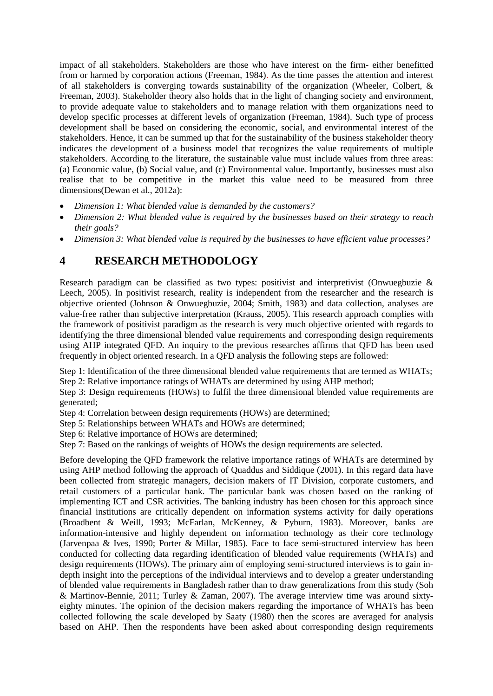impact of all stakeholders. Stakeholders are those who have interest on the firm- either benefitted from or harmed by corporation actions [\(Freeman, 1984\)](#page-15-9). As the time passes the attention and interest of all stakeholders is converging towards sustainability of the organization [\(Wheeler, Colbert, &](#page-16-1)  [Freeman, 2003\)](#page-16-1). Stakeholder theory also holds that in the light of changing society and environment, to provide adequate value to stakeholders and to manage relation with them organizations need to develop specific processes at different levels of organization [\(Freeman, 1984\)](#page-15-9). Such type of process development shall be based on considering the economic, social, and environmental interest of the stakeholders. Hence, it can be summed up that for the sustainability of the business stakeholder theory indicates the development of a business model that recognizes the value requirements of multiple stakeholders. According to the literature, the sustainable value must include values from three areas: (a) Economic value, (b) Social value, and (c) Environmental value. Importantly, businesses must also realise that to be competitive in the market this value need to be measured from three dimensions[\(Dewan et al., 2012a\)](#page-14-2):

- *Dimension 1: What blended value is demanded by the customers?*
- *Dimension 2: What blended value is required by the businesses based on their strategy to reach their goals?*
- *Dimension 3: What blended value is required by the businesses to have efficient value processes?*

# **4 RESEARCH METHODOLOGY**

Research paradigm can be classified as two types: positivist and interpretivist [\(Onwuegbuzie &](#page-15-10)  [Leech, 2005\)](#page-15-10). In positivist research, reality is independent from the researcher and the research is objective oriented [\(Johnson & Onwuegbuzie, 2004;](#page-15-11) [Smith, 1983\)](#page-15-12) and data collection, analyses are value-free rather than subjective interpretation [\(Krauss, 2005\)](#page-15-13). This research approach complies with the framework of positivist paradigm as the research is very much objective oriented with regards to identifying the three dimensional blended value requirements and corresponding design requirements using AHP integrated QFD. An inquiry to the previous researches affirms that QFD has been used frequently in object oriented research. In a QFD analysis the following steps are followed:

Step 1: Identification of the three dimensional blended value requirements that are termed as WHATs; Step 2: Relative importance ratings of WHATs are determined by using AHP method;

Step 3: Design requirements (HOWs) to fulfil the three dimensional blended value requirements are generated;

- Step 4: Correlation between design requirements (HOWs) are determined;
- Step 5: Relationships between WHATs and HOWs are determined;
- Step 6: Relative importance of HOWs are determined;
- Step 7: Based on the rankings of weights of HOWs the design requirements are selected.

Before developing the QFD framework the relative importance ratings of WHATs are determined by using AHP method following the approach of Quaddus and Siddique [\(2001\)](#page-15-14). In this regard data have been collected from strategic managers, decision makers of IT Division, corporate customers, and retail customers of a particular bank. The particular bank was chosen based on the ranking of implementing ICT and CSR activities. The banking industry has been chosen for this approach since financial institutions are critically dependent on information systems activity for daily operations [\(Broadbent & Weill, 1993;](#page-14-8) [McFarlan, McKenney, & Pyburn, 1983\)](#page-15-15). Moreover, banks are information-intensive and highly dependent on information technology as their core technology [\(Jarvenpaa & Ives, 1990;](#page-15-16) [Porter & Millar, 1985\)](#page-15-17). Face to face semi-structured interview has been conducted for collecting data regarding identification of blended value requirements (WHATs) and design requirements (HOWs). The primary aim of employing semi-structured interviews is to gain indepth insight into the perceptions of the individual interviews and to develop a greater understanding of blended value requirements in Bangladesh rather than to draw generalizations from this study [\(Soh](#page-15-18)  [& Martinov-Bennie, 2011;](#page-15-18) [Turley & Zaman, 2007\)](#page-16-2). The average interview time was around sixtyeighty minutes. The opinion of the decision makers regarding the importance of WHATs has been collected following the scale developed by Saaty (1980) then the scores are averaged for analysis based on AHP. Then the respondents have been asked about corresponding design requirements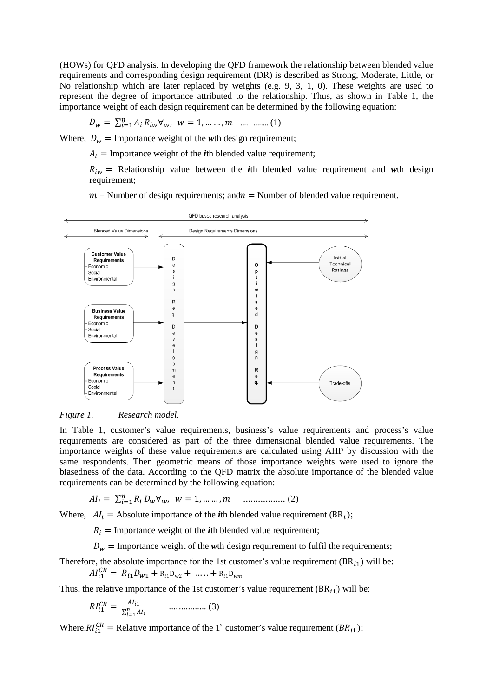(HOWs) for QFD analysis. In developing the QFD framework the relationship between blended value requirements and corresponding design requirement (DR) is described as Strong, Moderate, Little, or No relationship which are later replaced by weights (e.g. 9, 3, 1, 0). These weights are used to represent the degree of importance attributed to the relationship. Thus, as shown in Table 1, the importance weight of each design requirement can be determined by the following equation:

$$
D_w = \sum_{i=1}^{n} A_i R_{iw} \forall w, \ w = 1, \dots, m \quad \dots \quad \dots \quad (1)
$$

Where,  $D_w = \text{Importance weight of the } w\text{th design requirement};$ 

 $A_i$  = Importance weight of the *i*th blended value requirement;

 $R_{iw}$  = Relationship value between the *i*th blended value requirement and *w*th design requirement;

 $m =$  Number of design requirements; and  $n =$  Number of blended value requirement.



*Figure 1. Research model.*

In Table 1, customer's value requirements, business's value requirements and process's value requirements are considered as part of the three dimensional blended value requirements. The importance weights of these value requirements are calculated using AHP by discussion with the same respondents. Then geometric means of those importance weights were used to ignore the biasedness of the data. According to the QFD matrix the absolute importance of the blended value requirements can be determined by the following equation:

 = ∑ =1 ∀, = 1, … … , ................. (2)

Where,  $AI_i =$  Absolute importance of the *i*th blended value requirement (BR<sub>i</sub>);

 $R_i$  = Importance weight of the *i*th blended value requirement;

 $D_w$  = Importance weight of the *w*th design requirement to fulfil the requirements;

Therefore, the absolute importance for the 1st customer's value requirement  $(BR_{i1})$  will be:

$$
AI_{i1}^{CR} = R_{i1}D_{w1} + R_{i1}D_{w2} + \ldots + R_{i1}D_{wm}
$$

Thus, the relative importance of the 1st customer's value requirement  $(BR_{11})$  will be:

$$
RI_{i1}^{CR} = \frac{Al_{i1}}{\sum_{i=1}^{n} Al_i} \qquad \qquad \dots \dots \dots \dots \dots \dots \tag{3}
$$

Where, $RI_{i1}^{CR}$  = Relative importance of the 1<sup>st</sup> customer's value requirement ( $BR_{i1}$ );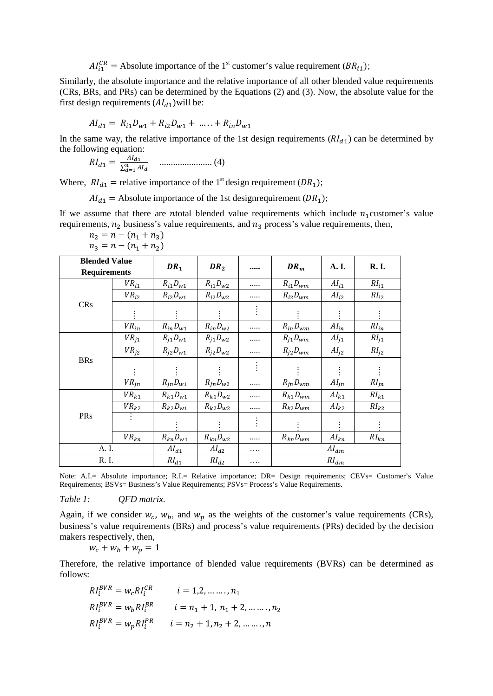$AI_{i1}^{CR}$  = Absolute importance of the 1<sup>st</sup> customer's value requirement  $(BR_{i1})$ ;

Similarly, the absolute importance and the relative importance of all other blended value requirements (CRs, BRs, and PRs) can be determined by the Equations (2) and (3). Now, the absolute value for the first design requirements  $(Al<sub>d1</sub>)$  will be:

$$
Al_{d1} = R_{i1}D_{w1} + R_{i2}D_{w1} + \dots + R_{in}D_{w1}
$$

In the same way, the relative importance of the 1st design requirements  $(RI_{d1})$  can be determined by the following equation:

$$
RI_{d1} = \frac{Al_{d1}}{\sum_{d=1}^{n} Al_d} \quad \dots \dots \dots \dots \dots \dots \dots \dots \dots \tag{4}
$$

Where,  $RI_{d1}$  = relative importance of the 1<sup>st</sup> design requirement (DR<sub>1</sub>);

 $AI_{d1}$  = Absolute importance of the 1st designrequirement (DR<sub>1</sub>);

If we assume that there are noted blended value requirements which include  $n_1$  customer's value requirements,  $n_2$  business's value requirements, and  $n_3$  process's value requirements, then,

| <b>Blended Value</b><br><b>Requirements</b> |                            | DR <sub>1</sub>        | DR <sub>2</sub> |                    | $DR_m$         | A.I.                   | <b>R.I.</b>        |  |  |
|---------------------------------------------|----------------------------|------------------------|-----------------|--------------------|----------------|------------------------|--------------------|--|--|
|                                             | ${\it VR}_{i1}$            | $R_{i1}D_{w1}$         | $R_{i1}D_{w2}$  |                    | $R_{i1}D_{wm}$ | $AI_{i1}$              | $RI_{i1}$          |  |  |
| <b>CRs</b>                                  | $VR_{i2}$                  | $R_{i2}D_{w1}$         | $R_{i2}D_{w2}$  | .                  | $R_{i2}D_{wm}$ | AI <sub>i2</sub>       | $RI_{i2}$          |  |  |
|                                             |                            |                        |                 |                    |                |                        |                    |  |  |
|                                             | $VR_{in}$                  | $R_{in}D_{w1}$         | $R_{in}D_{w2}$  |                    | $R_{in}D_{wm}$ | $\boldsymbol{AI_{in}}$ | $RI_{in}$          |  |  |
| <b>BRs</b>                                  | $VR_{j1}$                  | $R_{j1}D_{w1}$         | $R_{j1}D_{w2}$  | $R_{j1}D_{wm}$<br> |                | $AI_{j1}$              | $RI_{j1}$          |  |  |
|                                             | $VR_{i2}$                  | $R_{j2}D_{w1}$         | $R_{i2}D_{w2}$  |                    | $R_{j2}D_{wm}$ | AI <sub>12</sub>       | RI <sub>12</sub>   |  |  |
|                                             |                            |                        |                 | $\bullet$          |                |                        |                    |  |  |
|                                             | $VR_{jn}$                  | $R_{in}D_{w1}$         | $R_{in}D_{w2}$  |                    | $R_{in}D_{wm}$ | $AI_{jn}$              | $RI_{jn}$          |  |  |
|                                             | $VR_{k1}$                  | $R_{k1}D_{w1}$         | $R_{k1}D_{w2}$  |                    | $R_{k1}D_{wm}$ | $\boldsymbol{AI_{k1}}$ | $\mathit{RI}_{k1}$ |  |  |
|                                             | ${\ensuremath{V\!R}}_{k2}$ | $R_{k2}D_{w1}$         | $R_{k2}D_{w2}$  |                    | $R_{k2}D_{wm}$ | $\boldsymbol{AI_{k2}}$ | $RI_{k2}$          |  |  |
| PRs                                         |                            |                        |                 | $\bullet$          |                |                        |                    |  |  |
|                                             | $VR_{kn}$                  | $R_{kn}D_{w1}$         | $R_{kn}D_{w2}$  | .                  | $R_{kn}D_{wm}$ | $\overline{Al}_{kn}$   | $RI_{kn}$          |  |  |
| A. I.                                       |                            | $\boldsymbol{AI_{d1}}$ | $Al_{d2}$       | .                  |                |                        |                    |  |  |
| R. I.                                       |                            | $\mathit{RI}_{d1}$     | $RI_{d2}$       | .                  | $RI_{dm}$      |                        |                    |  |  |

$$
n_2 = n - (n_1 + n_3)
$$
  

$$
n_3 = n - (n_1 + n_2)
$$

Note: A.I.= Absolute importance; R.I.= Relative importance; DR= Design requirements; CEVs= Customer's Value Requirements; BSVs= Business's Value Requirements; PSVs= Process's Value Requirements.

*Table 1: QFD matrix.*

Again, if we consider  $w_c$ ,  $w_b$ , and  $w_p$  as the weights of the customer's value requirements (CRs), business's value requirements (BRs) and process's value requirements (PRs) decided by the decision makers respectively, then,

 $w_c + w_b + w_p = 1$ 

Therefore, the relative importance of blended value requirements (BVRs) can be determined as follows:

$$
RI_i^{BVR} = w_c RI_i^{CR} \t i = 1, 2, ..., n_1
$$
  
\n
$$
RI_i^{BVR} = w_b RI_i^{BR} \t i = n_1 + 1, n_1 + 2, ..., n_2
$$
  
\n
$$
RI_i^{BVR} = w_p RI_i^{PR} \t i = n_2 + 1, n_2 + 2, ..., n
$$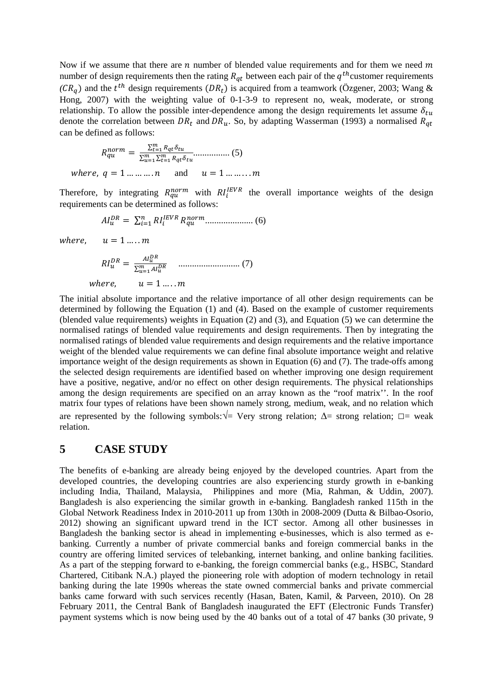Now if we assume that there are  $n$  number of blended value requirements and for them we need  $m$ number of design requirements then the rating  $R_{qt}$  between each pair of the  $q^{th}$ customer requirements  $(CR_q)$  and the  $t^{th}$  design requirements  $(DR_t)$  is acquired from a teamwork [\(Özgener, 2003;](#page-15-19) Wang & [Hong, 2007\)](#page-16-0) with the weighting value of 0-1-3-9 to represent no, weak, moderate, or strong relationship. To allow the possible inter-dependence among the design requirements let assume  $\delta_{tu}$ denote the correlation between  $DR_t$  and  $DR_u$ . So, by adapting Wasserman [\(1993\)](#page-16-3) a normalised  $R_{qt}$ can be defined as follows:

$$
R_{qu}^{norm} = \frac{\sum_{t=1}^{m} R_{qt} \delta_{tu}}{\sum_{u=1}^{m} \sum_{t=1}^{m} R_{qt} \delta_{tu}} \dots \dots \dots \dots \dots \quad (5)
$$
  
where,  $q = 1 \dots \dots \dots n$  and  $u = 1 \dots \dots \dots m$ 

Therefore, by integrating  $R_{qu}^{norm}$  with  $RI_i^{IEVR}$  the overall importance weights of the design requirements can be determined as follows:

$$
AI_{u}^{DR} = \sum_{i=1}^{n} RI_{i}^{IEVR} R_{qu}^{norm} \dots (6)
$$

where,  $u = 1,...,m$ 

 <sup>=</sup> <sup>∑</sup> =1 ........................... (7) ℎ, = 1 … . .

The initial absolute importance and the relative importance of all other design requirements can be determined by following the Equation (1) and (4). Based on the example of customer requirements (blended value requirements) weights in Equation (2) and (3), and Equation (5) we can determine the normalised ratings of blended value requirements and design requirements. Then by integrating the normalised ratings of blended value requirements and design requirements and the relative importance weight of the blended value requirements we can define final absolute importance weight and relative importance weight of the design requirements as shown in Equation (6) and (7). The trade-offs among the selected design requirements are identified based on whether improving one design requirement have a positive, negative, and/or no effect on other design requirements. The physical relationships among the design requirements are specified on an array known as the "roof matrix''. In the roof matrix four types of relations have been shown namely strong, medium, weak, and no relation which are represented by the following symbols:**√**= Very strong relation; ∆= strong relation; **□**= weak relation.

## **5 CASE STUDY**

The benefits of e-banking are already being enjoyed by the developed countries. Apart from the developed countries, the developing countries are also experiencing sturdy growth in e-banking including India, Thailand, Malaysia, Philippines and more [\(Mia, Rahman, & Uddin, 2007\)](#page-15-20). Bangladesh is also experiencing the similar growth in e-banking. Bangladesh ranked 115th in the Global Network Readiness Index in 2010-2011 up from 130th in 2008-2009 [\(Dutta & Bilbao-Osorio,](#page-15-21)  [2012\)](#page-15-21) showing an significant upward trend in the ICT sector. Among all other businesses in Bangladesh the banking sector is ahead in implementing e-businesses, which is also termed as ebanking. Currently a number of private commercial banks and foreign commercial banks in the country are offering limited services of telebanking, internet banking, and online banking facilities. As a part of the stepping forward to e-banking, the foreign commercial banks (e.g., HSBC, Standard Chartered, Citibank N.A.) played the pioneering role with adoption of modern technology in retail banking during the late 1990s whereas the state owned commercial banks and private commercial banks came forward with such services recently [\(Hasan, Baten, Kamil, & Parveen, 2010\)](#page-15-22). On 28 February 2011, the Central Bank of Bangladesh inaugurated the EFT (Electronic Funds Transfer) payment systems which is now being used by the 40 banks out of a total of 47 banks (30 private, 9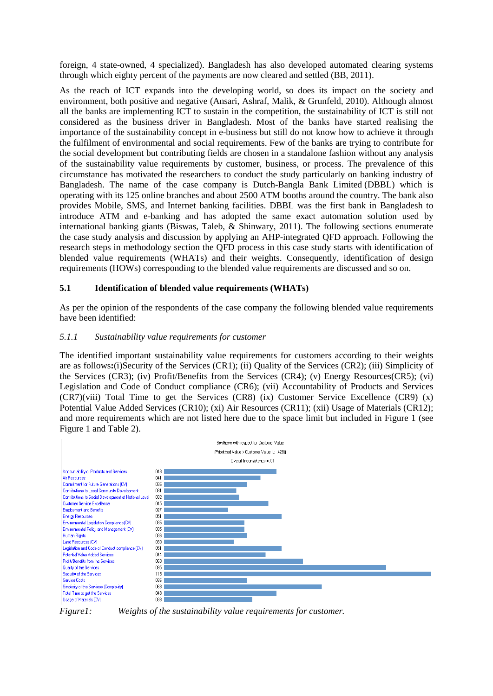foreign, 4 state-owned, 4 specialized). Bangladesh has also developed automated clearing systems through which eighty percent of the payments are now cleared and settled [\(BB, 2011\)](#page-14-9).

As the reach of ICT expands into the developing world, so does its impact on the society and environment, both positive and negative [\(Ansari, Ashraf, Malik, & Grunfeld, 2010\)](#page-14-10). Although almost all the banks are implementing ICT to sustain in the competition, the sustainability of ICT is still not considered as the business driver in Bangladesh. Most of the banks have started realising the importance of the sustainability concept in e-business but still do not know how to achieve it through the fulfilment of environmental and social requirements. Few of the banks are trying to contribute for the social development but contributing fields are chosen in a standalone fashion without any analysis of the sustainability value requirements by customer, business, or process. The prevalence of this circumstance has motivated the researchers to conduct the study particularly on banking industry of Bangladesh. The name of the case company is Dutch-Bangla Bank Limited (DBBL) which is operating with its 125 online branches and about 2500 ATM booths around the country. The bank also provides Mobile, SMS, and Internet banking facilities. DBBL was the first bank in Bangladesh to introduce ATM and e-banking and has adopted the same exact automation solution used by international banking giants [\(Biswas, Taleb, & Shinwary, 2011\)](#page-14-11). The following sections enumerate the case study analysis and discussion by applying an AHP-integrated QFD approach. Following the research steps in methodology section the QFD process in this case study starts with identification of blended value requirements (WHATs) and their weights. Consequently, identification of design requirements (HOWs) corresponding to the blended value requirements are discussed and so on.

## **5.1 Identification of blended value requirements (WHATs)**

As per the opinion of the respondents of the case company the following blended value requirements have been identified:

## *5.1.1 Sustainability value requirements for customer*

The identified important sustainability value requirements for customers according to their weights are as follows**:**(i)Security of the Services (CR1); (ii) Quality of the Services (CR2); (iii) Simplicity of the Services (CR3); (iv) Profit/Benefits from the Services (CR4); (v) Energy Resources(CR5); (vi) Legislation and Code of Conduct compliance (CR6); (vii) Accountability of Products and Services  $(CR7)(viii)$  Total Time to get the Services  $(CR8)$  (ix) Customer Service Excellence  $(CR9)$  (x) Potential Value Added Services (CR10); (xi) Air Resources (CR11); (xii) Usage of Materials (CR12); and more requirements which are not listed here due to the space limit but included in Figure 1 (see Figure 1 and Table 2).



*Figure1: Weights of the sustainability value requirements for customer.*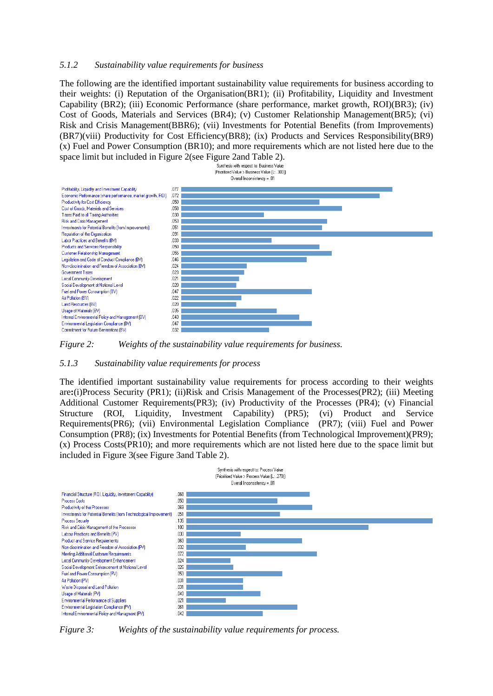#### *5.1.2 Sustainability value requirements for business*

The following are the identified important sustainability value requirements for business according to their weights: (i) Reputation of the Organisation(BR1); (ii) Profitability, Liquidity and Investment Capability (BR2); (iii) Economic Performance (share performance, market growth, ROI)(BR3); (iv) Cost of Goods, Materials and Services (BR4); (v) Customer Relationship Management(BR5); (vi) Risk and Crisis Management(BBR6); (vii) Investments for Potential Benefits (from Improvements) (BR7)(viii) Productivity for Cost Efficiency(BR8); (ix) Products and Services Responsibility(BR9) (x) Fuel and Power Consumption (BR10); and more requirements which are not listed here due to the space limit but included in Figure 2(see Figure 2and Table 2).<br>Synthesis with respect to: Business Value



*Figure 2: Weights of the sustainability value requirements for business.*

#### *5.1.3 Sustainability value requirements for process*

The identified important sustainability value requirements for process according to their weights are**:**(i)Process Security (PR1); (ii)Risk and Crisis Management of the Processes(PR2); (iii) Meeting Additional Customer Requirements(PR3); (iv) Productivity of the Processes (PR4); (v) Financial Structure (ROI, Liquidity, Investment Capability) (PR5); (vi) Product and Service Requirements(PR6); (vii) Environmental Legislation Compliance (PR7); (viii) Fuel and Power Consumption (PR8); (ix) Investments for Potential Benefits (from Technological Improvement)(PR9); (x) Process Costs(PR10); and more requirements which are not listed here due to the space limit but included in Figure 3(see Figure 3and Table 2).



*Figure 3: Weights of the sustainability value requirements for process.*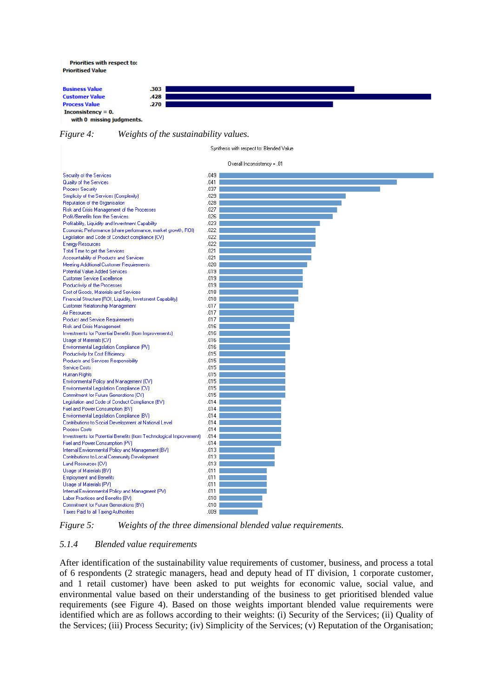Priorities with respect to: **Prioritised Value** 

**Business Value** 303 **Customer Value** .428 **Process Value**  $.270$ Inconsistency =  $0$ . with 0 missing judgments.

*Figure 4: Weights of the sustainability values.*

Synthesis with respect to: Blended Value Overall Inconsistency = .01

Security of the Services  $.049 041$ Quality of the Services 037 **Process Security** Simplicity of the Services (Complexity)  $.029$ Reputation of the Organisation .028 Risk and Crisis Management of the Processes  $.027$ Profit/Benefits from the Services  $.026$ Profitability, Liquidity and Investment Capability  $.023$ Economic Performance (share performance, market growth, ROI)  $.022$ Legislation and Code of Conduct compliance (CV)  $.022$ **Energy Resources** 022 Total Time to get the Services  $.021$ Accountability of Products and Services  $.021$ Meeting Additional Customer Requirements .020 Potential Value Added Services  $.019$ Customer Service Excellence  $.019$ Productivity of the Processes  $.019$ Cost of Goods, Materials and Services  $.018$ Financial Structure (ROI, Liquidity, Invetsment Capability) .018 Customer Relationship Management 017 Air Resources  $.017$ Product and Service Requirements  $.017$ Risk and Crisis Management 016 Investments for Potential Benefits (from Improvements) 016 Usage of Materials (CV)  $.016$ Environmental Legislation Compliance (PV) 016 Productivity for Cost Efficiency 015 Products and Services Responsibility 015 Service Costs  $.015$ Human Rights  $.015$ Environmental Policy and Management (CV)  $.015$ Environmental Legislation Compliance (CV)  $.015$ Commitment for Future Generations (CV)  $.015$ Legislation and Code of Conduct Compliance (BV)  $.014$ Fuel and Power Consumption (BV)  $014$ Environmental Legislation Compliance (BV)  $014$ Contributions to Social Development at National Level  $.014$ **Process Costs**  $.014$ Investments for Potential Benefits (from Technological Improvement)  $.014$ Fuel and Power Consumption (PV)  $.014$ Internal Environmental Policy and Management (BV)  $.013$ Contributions to Local Community Development  $.013$ Land Resources (CV)  $.013$ Usage of Materials (BV)  $.011$ **Employment and Benefits**  $011$ Usage of Materials (PV)  $.011$ Internal Environmental Policy and Managment (PV)  $011$ Labor Practices and Renefits (RV).  $010$ Commitment for Future Generations (BV) 010

*Figure 5: Weights of the three dimensional blended value requirements.*

 $009$ 

#### *5.1.4 Blended value requirements*

Taxes Paid to all Taxing Authorities

After identification of the sustainability value requirements of customer, business, and process a total of 6 respondents (2 strategic managers, head and deputy head of IT division, 1 corporate customer, and 1 retail customer) have been asked to put weights for economic value, social value, and environmental value based on their understanding of the business to get prioritised blended value requirements (see Figure 4). Based on those weights important blended value requirements were identified which are as follows according to their weights: (i) Security of the Services; (ii) Quality of the Services; (iii) Process Security; (iv) Simplicity of the Services; (v) Reputation of the Organisation;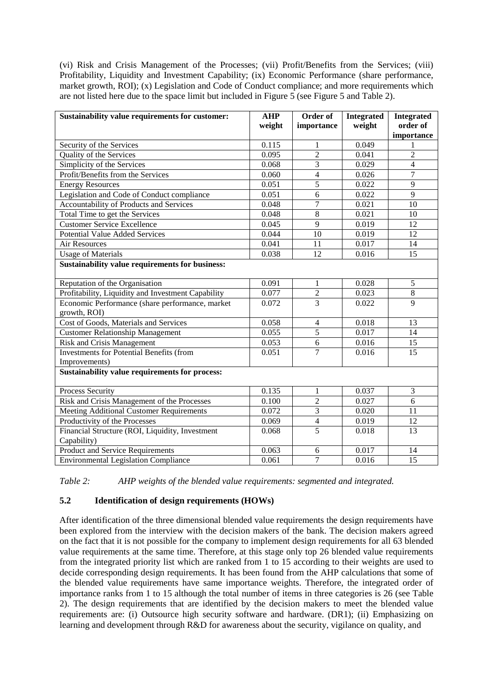(vi) Risk and Crisis Management of the Processes; (vii) Profit/Benefits from the Services; (viii) Profitability, Liquidity and Investment Capability; (ix) Economic Performance (share performance, market growth, ROI); (x) Legislation and Code of Conduct compliance; and more requirements which are not listed here due to the space limit but included in Figure 5 (see Figure 5 and Table 2).

| Sustainability value requirements for customer:                  | <b>AHP</b><br>weight | Order of<br>importance | <b>Integrated</b><br>weight | <b>Integrated</b><br>order of<br>importance |
|------------------------------------------------------------------|----------------------|------------------------|-----------------------------|---------------------------------------------|
| Security of the Services                                         | 0.115                | 1                      | 0.049                       | 1                                           |
| Quality of the Services                                          | 0.095                | $\overline{2}$         | 0.041                       | $\overline{2}$                              |
| Simplicity of the Services                                       | 0.068                | $\overline{3}$         | 0.029                       | $\overline{4}$                              |
| Profit/Benefits from the Services                                | 0.060                | $\overline{4}$         | 0.026                       | $\tau$                                      |
| <b>Energy Resources</b>                                          | 0.051                | 5                      | 0.022                       | $\overline{9}$                              |
| Legislation and Code of Conduct compliance                       | 0.051                | $\overline{6}$         | 0.022                       | $\overline{9}$                              |
| Accountability of Products and Services                          | 0.048                | $\overline{7}$         | 0.021                       | $\overline{10}$                             |
| Total Time to get the Services                                   | 0.048                | $\overline{8}$         | 0.021                       | 10                                          |
| <b>Customer Service Excellence</b>                               | 0.045                | $\overline{9}$         | 0.019                       | 12                                          |
| <b>Potential Value Added Services</b>                            | 0.044                | $\overline{10}$        | 0.019                       | 12                                          |
| <b>Air Resources</b>                                             | 0.041                | 11                     | 0.017                       | 14                                          |
| <b>Usage of Materials</b>                                        | 0.038                | 12                     | 0.016                       | $\overline{15}$                             |
| Sustainability value requirements for business:                  |                      |                        |                             |                                             |
| Reputation of the Organisation                                   | 0.091                | $\mathbf{1}$           | 0.028                       | 5                                           |
| Profitability, Liquidity and Investment Capability               | 0.077                | $\overline{2}$         | 0.023                       | $\overline{8}$                              |
| Economic Performance (share performance, market<br>growth, ROI)  | 0.072                | $\overline{3}$         | 0.022                       | 9                                           |
| Cost of Goods, Materials and Services                            | 0.058                | $\overline{4}$         | 0.018                       | 13                                          |
| <b>Customer Relationship Management</b>                          | 0.055                | $\overline{5}$         | 0.017                       | 14                                          |
| <b>Risk and Crisis Management</b>                                | 0.053                | $\overline{6}$         | 0.016                       | 15                                          |
| <b>Investments for Potential Benefits (from</b><br>Improvements) | 0.051                | $\overline{7}$         | 0.016                       | 15                                          |
| Sustainability value requirements for process:                   |                      |                        |                             |                                             |
| Process Security                                                 | 0.135                | 1                      | 0.037                       | $\overline{3}$                              |
| Risk and Crisis Management of the Processes                      | 0.100                | $\overline{2}$         | 0.027                       | $\overline{6}$                              |
| Meeting Additional Customer Requirements                         | 0.072                | $\overline{3}$         | 0.020                       | 11                                          |
| Productivity of the Processes                                    | 0.069                | $\overline{4}$         | 0.019                       | 12                                          |
| Financial Structure (ROI, Liquidity, Investment<br>Capability)   | 0.068                | $\overline{5}$         | 0.018                       | $\overline{13}$                             |
| Product and Service Requirements                                 | 0.063                | 6                      | 0.017                       | 14                                          |
| <b>Environmental Legislation Compliance</b>                      | 0.061                | $\overline{7}$         | 0.016                       | 15                                          |

*Table 2: AHP weights of the blended value requirements: segmented and integrated.*

## **5.2 Identification of design requirements (HOWs)**

After identification of the three dimensional blended value requirements the design requirements have been explored from the interview with the decision makers of the bank. The decision makers agreed on the fact that it is not possible for the company to implement design requirements for all 63 blended value requirements at the same time. Therefore, at this stage only top 26 blended value requirements from the integrated priority list which are ranked from 1 to 15 according to their weights are used to decide corresponding design requirements. It has been found from the AHP calculations that some of the blended value requirements have same importance weights. Therefore, the integrated order of importance ranks from 1 to 15 although the total number of items in three categories is 26 (see Table 2). The design requirements that are identified by the decision makers to meet the blended value requirements are: (i) Outsource high security software and hardware. (DR1); (ii) Emphasizing on learning and development through R&D for awareness about the security, vigilance on quality, and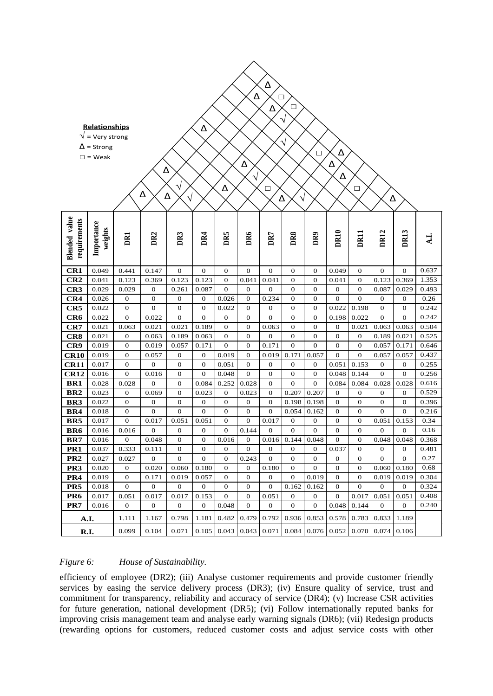| Δ<br>Δ<br>$\Box$<br>□<br>Δ           |                                                                                          |                         |                           |                  |                           |                             |                           |                           |                                  |                                      |                              |                                      |                       |                           |                  |
|--------------------------------------|------------------------------------------------------------------------------------------|-------------------------|---------------------------|------------------|---------------------------|-----------------------------|---------------------------|---------------------------|----------------------------------|--------------------------------------|------------------------------|--------------------------------------|-----------------------|---------------------------|------------------|
|                                      | <b>Relationships</b><br>$\sqrt{}$ = Very strong<br>$\Delta$ = Strong<br>$\square$ = Weak |                         | Δ<br>Δ                    | Δ<br>$\sqrt{2}$  | Δ                         | Δ                           | Δ<br>$\sqrt{}$            | □                         | V<br>$\sqrt{}$<br>Δ              | $\Box$                               | Δ<br>Δ<br>Δ                  | $\Box$                               | Δ                     |                           |                  |
| <b>Blended</b> value<br>requirements | Importance<br>weights                                                                    | DRI                     | DR2                       | DR3              | DR4                       | DR5                         | DR6                       | DR7                       | DR8                              | DR <sub>9</sub>                      | DR10                         | DRII                                 | DR12                  | DR13                      | A.I.             |
| CR1                                  | 0.049                                                                                    | 0.441                   | 0.147                     | $\mathbf{0}$     | $\mathbf{0}$              | $\bf{0}$                    | $\boldsymbol{0}$          | $\mathbf{0}$              | $\mathbf{0}$                     | $\bf{0}$                             | 0.049                        | 0                                    | $\mathbf{0}$          | $\mathbf{0}$              | 0.637            |
| CR2                                  | 0.041                                                                                    | 0.123                   | 0.369                     | 0.123            | 0.123                     | 0                           | 0.041                     | 0.041                     | 0                                | 0                                    | 0.041                        | 0                                    | 0.123                 | 0.369                     | 1.353            |
| CR <sub>3</sub>                      | 0.029                                                                                    | 0.029                   | $\mathbf 0$               | 0.261            | 0.087                     | $\boldsymbol{0}$            | 0                         | $\boldsymbol{0}$          | 0                                | 0                                    | 0                            | 0                                    | 0.087                 | 0.029                     | 0.493            |
| CR4                                  | 0.026                                                                                    | $\boldsymbol{0}$        | $\boldsymbol{0}$          | 0                | $\boldsymbol{0}$          | 0.026                       | 0                         | 0.234                     | $\boldsymbol{0}$                 | $\boldsymbol{0}$                     | $\boldsymbol{0}$             | 0                                    | $\mathbf{0}$          | 0                         | 0.26             |
| CR5                                  | 0.022                                                                                    | $\boldsymbol{0}$        | $\mathbf{0}$              | $\mathbf{0}$     | $\mathbf{0}$              | 0.022                       | $\boldsymbol{0}$          | $\mathbf{0}$              | $\boldsymbol{0}$                 | $\mathbf{0}$                         | 0.022                        | 0.198                                | $\mathbf{0}$          | 0                         | 0.242            |
| CR6                                  | 0.022                                                                                    | $\mathbf{0}$            | 0.022                     | $\mathbf{0}$     | $\overline{0}$            | $\boldsymbol{0}$            | $\boldsymbol{0}$          | $\overline{0}$            | $\boldsymbol{0}$                 | $\boldsymbol{0}$                     | 0.198                        | 0.022                                | $\overline{0}$        | $\overline{0}$            | 0.242            |
| CR7                                  | 0.021                                                                                    | 0.063                   | 0.021                     | 0.021            | 0.189                     | $\mathbf{0}$                | $\boldsymbol{0}$          | 0.063                     | $\bf{0}$                         | $\mathbf{0}$                         | 0                            | 0.021                                | 0.063                 | 0.063                     | 0.504            |
| CR8                                  | 0.021                                                                                    | 0                       | 0.063                     | 0.189            | 0.063                     | $\bf{0}$                    | $\mathbf{0}$              | $\boldsymbol{0}$          | $\mathbf{0}$                     | $\bf{0}$                             | $\boldsymbol{0}$             | $\boldsymbol{0}$                     | 0.189                 | 0.021                     | 0.525            |
| CR9                                  | 0.019                                                                                    | 0                       | 0.019                     | 0.057            | 0.171                     | $\boldsymbol{0}$            | $\boldsymbol{0}$          | 0.171                     | $\boldsymbol{0}$                 | $\boldsymbol{0}$                     | $\boldsymbol{0}$             | $\boldsymbol{0}$                     | 0.057                 | 0.171                     | 0.646            |
| <b>CR10</b>                          | 0.019                                                                                    | $\boldsymbol{0}$        | 0.057                     | $\boldsymbol{0}$ | $\boldsymbol{0}$          | 0.019                       | $\mathbf{0}$              | 0.019                     | 0.171                            | 0.057                                | $\mathbf{0}$                 | $\overline{0}$                       | 0.057                 | 0.057                     | 0.437            |
| CR11                                 | 0.017                                                                                    | 0                       | $\mathbf{0}$              | 0                | $\mathbf{0}$              | 0.051                       | $\mathbf{0}$              | $\mathbf{0}$              | $\mathbf{0}$                     | $\boldsymbol{0}$                     | 0.051                        | 0.153                                | $\mathbf{0}$          | 0                         | 0.255            |
| <b>CR12</b>                          | 0.016                                                                                    | $\mathbf{0}$            | 0.016                     | $\boldsymbol{0}$ | $\mathbf{0}$              | 0.048                       | $\mathbf{0}$              | $\mathbf 0$               | $\bf{0}$                         | $\mathbf{0}$                         | 0.048                        | 0.144                                | $\mathbf{0}$          | $\mathbf{0}$              | 0.256            |
| BR1                                  | 0.028                                                                                    | 0.028                   | $\boldsymbol{0}$          | 0                | 0.084                     | 0.252                       | 0.028                     | $\mathbf 0$               | $\mathbf{0}$                     | $\mathbf{0}$                         | 0.084                        | 0.084                                | 0.028                 | 0.028                     | 0.616            |
| BR <sub>2</sub>                      | 0.023                                                                                    | $\boldsymbol{0}$        | 0.069                     | 0                | 0.023                     | 0                           | 0.023                     | $\mathbf 0$               | 0.207                            | 0.207                                | $\boldsymbol{0}$             | 0                                    | $\boldsymbol{0}$      | 0                         | 0.529            |
| BR <sub>3</sub>                      | 0.022                                                                                    | $\boldsymbol{0}$        | $\boldsymbol{0}$          | 0                | $\boldsymbol{0}$          | 0                           | $\boldsymbol{0}$          | $\mathbf{0}$              | 0.198                            | 0.198                                | $\boldsymbol{0}$             | 0                                    | $\mathbf 0$           | 0                         | 0.396            |
| BR4                                  | 0.018                                                                                    | $\boldsymbol{0}$        | $\mathbf{0}$              | $\mathbf{0}$     | $\boldsymbol{0}$          | $\boldsymbol{0}$            | 0                         | $\mathbf{0}$              | 0.054                            | 0.162                                | $\boldsymbol{0}$             | 0                                    | $\mathbf{0}$          | 0                         | 0.216            |
| BR5                                  | 0.017                                                                                    | $\boldsymbol{0}$        | 0.017<br>$\boldsymbol{0}$ | 0.051<br>0       | 0.051<br>$\boldsymbol{0}$ | $\mathbf{0}$<br>$\mathbf 0$ | $\boldsymbol{0}$<br>0.144 | 0.017<br>$\boldsymbol{0}$ | $\mathbf{0}$<br>$\boldsymbol{0}$ | $\boldsymbol{0}$<br>$\boldsymbol{0}$ | $\mathbf{0}$<br>$\mathbf{0}$ | $\boldsymbol{0}$<br>$\boldsymbol{0}$ | 0.051<br>$\mathbf{0}$ | 0.153<br>$\boldsymbol{0}$ | 0.34<br>$0.16\,$ |
| BR6<br>BR7                           | 0.016<br>0.016                                                                           | 0.016<br>$\overline{0}$ | 0.048                     | $\overline{0}$   | $\overline{0}$            | 0.016                       | $\overline{0}$            | 0.016                     | 0.144                            | 0.048                                | $\overline{0}$               | $\overline{0}$                       | 0.048                 | 0.048                     | 0.368            |
| PR <sub>1</sub>                      | 0.037                                                                                    | 0.333                   | 0.111                     | 0                | $\boldsymbol{0}$          | 0                           | 0                         | $\mathbf 0$               | $\boldsymbol{0}$                 | 0                                    | 0.037                        | 0                                    | 0                     | 0                         | 0.481            |
| PR <sub>2</sub>                      | 0.027                                                                                    | 0.027                   | 0                         | 0                | $\boldsymbol{0}$          | 0                           | 0.243                     | 0                         | 0                                | 0                                    |                              |                                      | 0                     | 0                         | 0.27             |
| PR <sub>3</sub>                      | 0.020                                                                                    | 0                       | 0.020                     | 0.060            | 0.180                     | $\mathbf 0$                 | 0                         | 0.180                     | $\boldsymbol{0}$                 | $\bf{0}$                             | 0<br>$\boldsymbol{0}$        | 0<br>0                               | 0.060                 | 0.180                     | 0.68             |
| PR4                                  | 0.019                                                                                    | 0                       | 0.171                     | 0.019            | 0.057                     | $\boldsymbol{0}$            | $\boldsymbol{0}$          | 0                         | $\boldsymbol{0}$                 | 0.019                                | $\boldsymbol{0}$             | 0                                    | 0.019                 | 0.019                     | 0.304            |
| PR5                                  | 0.018                                                                                    | $\mathbf{O}$            | $\mathbf{0}$              | $\mathbf{0}$     | $\mathbf 0$               | $\mathbf 0$                 | $\mathbf 0$               | $\mathbf{0}$              | 0.162                            | 0.162                                | $\boldsymbol{0}$             | $\mathbf 0$                          | $\mathbf{0}$          | $\mathbf{0}$              | 0.324            |
| PR6                                  | 0.017                                                                                    | 0.051                   | 0.017                     | 0.017            | 0.153                     | $\mathbf{O}$                | $\boldsymbol{0}$          | 0.051                     | 0                                | $\mathbf{0}$                         | $\mathbf{0}$                 | 0.017                                | 0.051                 | 0.051                     | 0.408            |
| PR7                                  | 0.016                                                                                    | $\boldsymbol{0}$        | $\mathbf{0}$              | $\mathbf{0}$     | $\bf{0}$                  | 0.048                       | $\mathbf{0}$              | $\mathbf{0}$              | $\mathbf{0}$                     | $\mathbf{0}$                         | 0.048                        | 0.144                                | $\mathbf{0}$          | $\overline{0}$            | 0.240            |
|                                      |                                                                                          |                         |                           |                  |                           |                             |                           |                           |                                  |                                      |                              |                                      |                       |                           |                  |
| A.I.                                 |                                                                                          | 1.111                   | 1.167                     | 0.798            | 1.181                     | 0.482                       | 0.479                     | 0.792                     | 0.936                            | 0.853                                | 0.578                        | 0.783                                | 0.833                 | 1.189                     |                  |
| R.I.                                 |                                                                                          | 0.099                   | 0.104                     | 0.071            | 0.105                     | 0.043                       | 0.043                     |                           | $0.071$ 0.084                    | 0.076                                | 0.052                        |                                      | $0.070 \mid 0.074$    | 0.106                     |                  |

### *Figure 6: House of Sustainability.*

efficiency of employee (DR2); (iii) Analyse customer requirements and provide customer friendly services by easing the service delivery process (DR3); (iv) Ensure quality of service, trust and commitment for transparency, reliability and accuracy of service (DR4); (v) Increase CSR activities for future generation, national development (DR5); (vi) Follow internationally reputed banks for improving crisis management team and analyse early warning signals (DR6); (vii) Redesign products (rewarding options for customers, reduced customer costs and adjust service costs with other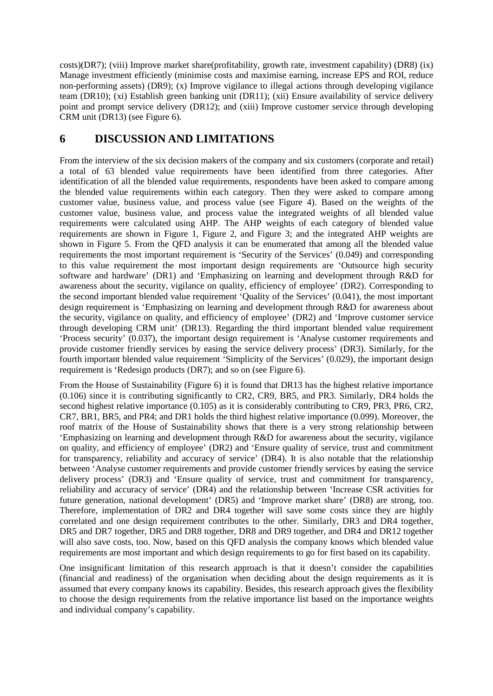costs)(DR7); (viii) Improve market share(profitability, growth rate, investment capability) (DR8) (ix) Manage investment efficiently (minimise costs and maximise earning, increase EPS and ROI, reduce non-performing assets) (DR9); (x) Improve vigilance to illegal actions through developing vigilance team (DR10); (xi) Establish green banking unit (DR11); (xii) Ensure availability of service delivery point and prompt service delivery (DR12); and (xiii) Improve customer service through developing CRM unit (DR13) (see Figure 6).

# **6 DISCUSSION AND LIMITATIONS**

From the interview of the six decision makers of the company and six customers (corporate and retail) a total of 63 blended value requirements have been identified from three categories. After identification of all the blended value requirements, respondents have been asked to compare among the blended value requirements within each category. Then they were asked to compare among customer value, business value, and process value (see Figure 4). Based on the weights of the customer value, business value, and process value the integrated weights of all blended value requirements were calculated using AHP. The AHP weights of each category of blended value requirements are shown in Figure 1, Figure 2, and Figure 3; and the integrated AHP weights are shown in Figure 5. From the QFD analysis it can be enumerated that among all the blended value requirements the most important requirement is 'Security of the Services' (0.049) and corresponding to this value requirement the most important design requirements are 'Outsource high security software and hardware' (DR1) and 'Emphasizing on learning and development through R&D for awareness about the security, vigilance on quality, efficiency of employee' (DR2). Corresponding to the second important blended value requirement 'Quality of the Services' (0.041), the most important design requirement is 'Emphasizing on learning and development through R&D for awareness about the security, vigilance on quality, and efficiency of employee' (DR2) and 'Improve customer service through developing CRM unit' (DR13). Regarding the third important blended value requirement 'Process security' (0.037), the important design requirement is 'Analyse customer requirements and provide customer friendly services by easing the service delivery process' (DR3). Similarly, for the fourth important blended value requirement 'Simplicity of the Services' (0.029), the important design requirement is 'Redesign products (DR7); and so on (see Figure 6).

From the House of Sustainability (Figure 6) it is found that DR13 has the highest relative importance (0.106) since it is contributing significantly to CR2, CR9, BR5, and PR3. Similarly, DR4 holds the second highest relative importance (0.105) as it is considerably contributing to CR9, PR3, PR6, CR2, CR7, BR1, BR5, and PR4; and DR1 holds the third highest relative importance (0.099). Moreover, the roof matrix of the House of Sustainability shows that there is a very strong relationship between 'Emphasizing on learning and development through R&D for awareness about the security, vigilance on quality, and efficiency of employee' (DR2) and 'Ensure quality of service, trust and commitment for transparency, reliability and accuracy of service' (DR4). It is also notable that the relationship between 'Analyse customer requirements and provide customer friendly services by easing the service delivery process' (DR3) and 'Ensure quality of service, trust and commitment for transparency, reliability and accuracy of service' (DR4) and the relationship between 'Increase CSR activities for future generation, national development' (DR5) and 'Improve market share' (DR8) are strong, too. Therefore, implementation of DR2 and DR4 together will save some costs since they are highly correlated and one design requirement contributes to the other. Similarly, DR3 and DR4 together, DR5 and DR7 together, DR5 and DR8 together, DR8 and DR9 together, and DR4 and DR12 together will also save costs, too. Now, based on this OFD analysis the company knows which blended value requirements are most important and which design requirements to go for first based on its capability.

One insignificant limitation of this research approach is that it doesn't consider the capabilities (financial and readiness) of the organisation when deciding about the design requirements as it is assumed that every company knows its capability. Besides, this research approach gives the flexibility to choose the design requirements from the relative importance list based on the importance weights and individual company's capability.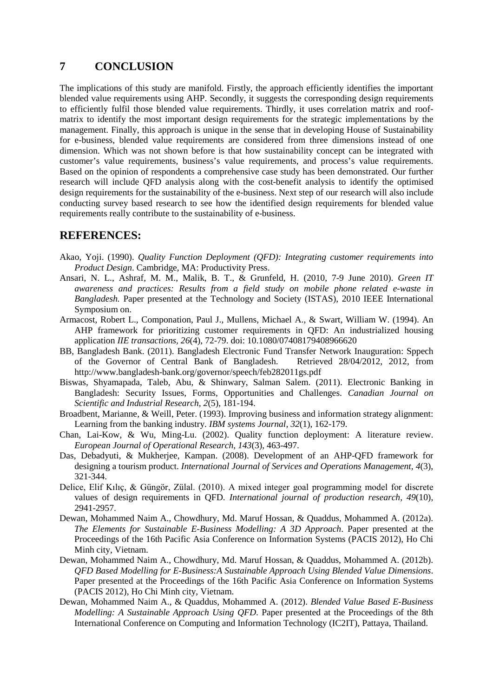## **7 CONCLUSION**

The implications of this study are manifold. Firstly, the approach efficiently identifies the important blended value requirements using AHP. Secondly, it suggests the corresponding design requirements to efficiently fulfil those blended value requirements. Thirdly, it uses correlation matrix and roofmatrix to identify the most important design requirements for the strategic implementations by the management. Finally, this approach is unique in the sense that in developing House of Sustainability for e-business, blended value requirements are considered from three dimensions instead of one dimension. Which was not shown before is that how sustainability concept can be integrated with customer's value requirements, business's value requirements, and process's value requirements. Based on the opinion of respondents a comprehensive case study has been demonstrated. Our further research will include QFD analysis along with the cost-benefit analysis to identify the optimised design requirements for the sustainability of the e-business. Next step of our research will also include conducting survey based research to see how the identified design requirements for blended value requirements really contribute to the sustainability of e-business.

## **REFERENCES:**

- <span id="page-14-3"></span>Akao, Yoji. (1990). *Quality Function Deployment (QFD): Integrating customer requirements into Product Design*. Cambridge, MA: Productivity Press.
- <span id="page-14-10"></span>Ansari, N. L., Ashraf, M. M., Malik, B. T., & Grunfeld, H. (2010, 7-9 June 2010). *Green IT awareness and practices: Results from a field study on mobile phone related e-waste in Bangladesh.* Paper presented at the Technology and Society (ISTAS), 2010 IEEE International Symposium on.
- <span id="page-14-7"></span>Armacost, Robert L., Componation, Paul J., Mullens, Michael A., & Swart, William W. (1994). An AHP framework for prioritizing customer requirements in QFD: An industrialized housing application *IIE transactions, 26*(4), 72-79. doi: 10.1080/07408179408966620
- <span id="page-14-9"></span>BB, Bangladesh Bank. (2011). Bangladesh Electronic Fund Transfer Network Inauguration: Sppech of the Governor of Central Bank of Bangladesh. Retrieved 28/04/2012, 2012, from http://www.bangladesh-bank.org/governor/speech/feb282011gs.pdf
- <span id="page-14-11"></span>Biswas, Shyamapada, Taleb, Abu, & Shinwary, Salman Salem. (2011). Electronic Banking in Bangladesh: Security Issues, Forms, Opportunities and Challenges. *Canadian Journal on Scientific and Industrial Research, 2*(5), 181-194.
- <span id="page-14-8"></span>Broadbent, Marianne, & Weill, Peter. (1993). Improving business and information strategy alignment: Learning from the banking industry. *IBM systems Journal, 32*(1), 162-179.
- <span id="page-14-5"></span>Chan, Lai-Kow, & Wu, Ming-Lu. (2002). Quality function deployment: A literature review. *European Journal of Operational Research, 143*(3), 463-497.
- <span id="page-14-6"></span>Das, Debadyuti, & Mukherjee, Kampan. (2008). Development of an AHP-QFD framework for designing a tourism product. *International Journal of Services and Operations Management, 4*(3), 321-344.
- <span id="page-14-4"></span>Delice, Elif Kılıç, & Güngör, Zülal. (2010). A mixed integer goal programming model for discrete values of design requirements in QFD. *International journal of production research, 49*(10), 2941-2957.
- <span id="page-14-2"></span>Dewan, Mohammed Naim A., Chowdhury, Md. Maruf Hossan, & Quaddus, Mohammed A. (2012a). *The Elements for Sustainable E-Business Modelling: A 3D Approach*. Paper presented at the Proceedings of the 16th Pacific Asia Conference on Information Systems (PACIS 2012), Ho Chi Minh city, Vietnam.
- <span id="page-14-1"></span>Dewan, Mohammed Naim A., Chowdhury, Md. Maruf Hossan, & Quaddus, Mohammed A. (2012b). *QFD Based Modelling for E-Business:A Sustainable Approach Using Blended Value Dimensions*. Paper presented at the Proceedings of the 16th Pacific Asia Conference on Information Systems (PACIS 2012), Ho Chi Minh city, Vietnam.
- <span id="page-14-0"></span>Dewan, Mohammed Naim A., & Quaddus, Mohammed A. (2012). *Blended Value Based E-Business Modelling: A Sustainable Approach Using QFD*. Paper presented at the Proceedings of the 8th International Conference on Computing and Information Technology (IC2IT), Pattaya, Thailand.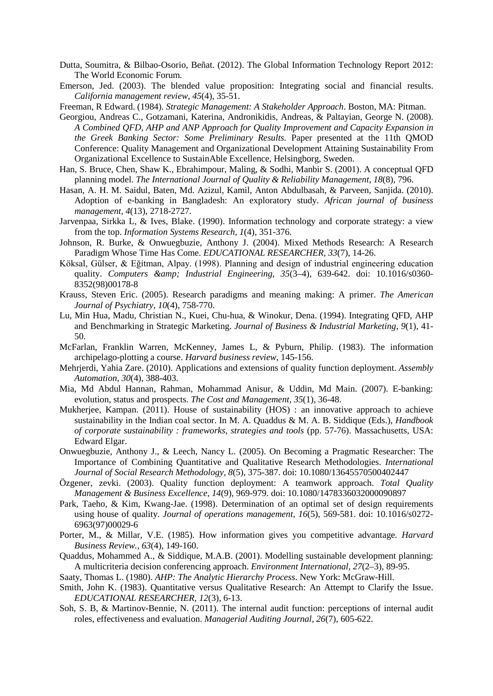- <span id="page-15-21"></span>Dutta, Soumitra, & Bilbao-Osorio, Beñat. (2012). The Global Information Technology Report 2012: The World Economic Forum.
- <span id="page-15-8"></span>Emerson, Jed. (2003). The blended value proposition: Integrating social and financial results. *California management review, 45*(4), 35-51.
- <span id="page-15-9"></span>Freeman, R Edward. (1984). *Strategic Management: A Stakeholder Approach*. Boston, MA: Pitman.
- <span id="page-15-2"></span>Georgiou, Andreas C., Gotzamani, Katerina, Andronikidis, Andreas, & Paltayian, George N. (2008). *A Combined QFD, AHP and ANP Approach for Quality Improvement and Capacity Expansion in the Greek Banking Sector: Some Preliminary Results.* Paper presented at the 11th QMOD Conference: Quality Management and Organizational Development Attaining Sustainability From Organizational Excellence to SustainAble Excellence, Helsingborg, Sweden.
- <span id="page-15-3"></span>Han, S. Bruce, Chen, Shaw K., Ebrahimpour, Maling, & Sodhi, Manbir S. (2001). A conceptual QFD planning model. *The International Journal of Quality & Reliability Management, 18*(8), 796.
- <span id="page-15-22"></span>Hasan, A. H. M. Saidul, Baten, Md. Azizul, Kamil, Anton Abdulbasah, & Parveen, Sanjida. (2010). Adoption of e-banking in Bangladesh: An exploratory study. *African journal of business management, 4*(13), 2718-2727.
- <span id="page-15-16"></span>Jarvenpaa, Sirkka L, & Ives, Blake. (1990). Information technology and corporate strategy: a view from the top. *Information Systems Research, 1*(4), 351-376.
- <span id="page-15-11"></span>Johnson, R. Burke, & Onwuegbuzie, Anthony J. (2004). Mixed Methods Research: A Research Paradigm Whose Time Has Come. *EDUCATIONAL RESEARCHER, 33*(7), 14-26.
- <span id="page-15-7"></span>Köksal, Gülser, & Eğitman, Alpay. (1998). Planning and design of industrial engineering education quality. *Computers & Industrial Engineering, 35*(3–4), 639-642. doi: 10.1016/s0360- 8352(98)00178-8
- <span id="page-15-13"></span>Krauss, Steven Eric. (2005). Research paradigms and meaning making: A primer. *The American Journal of Psychiatry, 10*(4), 758-770.
- <span id="page-15-4"></span>Lu, Min Hua, Madu, Christian N., Kuei, Chu-hua, & Winokur, Dena. (1994). Integrating QFD, AHP and Benchmarking in Strategic Marketing. *Journal of Business & Industrial Marketing, 9*(1), 41- 50.
- <span id="page-15-15"></span>McFarlan, Franklin Warren, McKenney, James L, & Pyburn, Philip. (1983). The information archipelago-plotting a course. *Harvard business review*, 145-156.
- <span id="page-15-0"></span>Mehrjerdi, Yahia Zare. (2010). Applications and extensions of quality function deployment. *Assembly Automation, 30*(4), 388-403.
- <span id="page-15-20"></span>Mia, Md Abdul Hannan, Rahman, Mohammad Anisur, & Uddin, Md Main. (2007). E-banking: evolution, status and prospects. *The Cost and Management, 35*(1), 36-48.
- <span id="page-15-6"></span>Mukherjee, Kampan. (2011). House of sustainability (HOS) : an innovative approach to achieve sustainability in the Indian coal sector. In M. A. Quaddus & M. A. B. Siddique (Eds.), *Handbook of corporate sustainability : frameworks, strategies and tools* (pp. 57-76). Massachusetts, USA: Edward Elgar.
- <span id="page-15-10"></span>Onwuegbuzie, Anthony J., & Leech, Nancy L. (2005). On Becoming a Pragmatic Researcher: The Importance of Combining Quantitative and Qualitative Research Methodologies. *International Journal of Social Research Methodology, 8*(5), 375-387. doi: 10.1080/13645570500402447
- <span id="page-15-19"></span>Özgener, zevki. (2003). Quality function deployment: A teamwork approach. *Total Quality Management & Business Excellence, 14*(9), 969-979. doi: 10.1080/1478336032000090897
- <span id="page-15-5"></span>Park, Taeho, & Kim, Kwang-Jae. (1998). Determination of an optimal set of design requirements using house of quality. *Journal of operations management, 16*(5), 569-581. doi: 10.1016/s0272- 6963(97)00029-6
- <span id="page-15-17"></span>Porter, M., & Millar, V.E. (1985). How information gives you competitive advantage. *Harvard Business Review., 63*(4), 149-160.
- <span id="page-15-14"></span>Quaddus, Mohammed A., & Siddique, M.A.B. (2001). Modelling sustainable development planning: A multicriteria decision conferencing approach. *Environment International, 27*(2–3), 89-95.
- <span id="page-15-1"></span>Saaty, Thomas L. (1980). *AHP: The Analytic Hierarchy Process*. New York: McGraw-Hill.
- <span id="page-15-12"></span>Smith, John K. (1983). Quantitative versus Qualitative Research: An Attempt to Clarify the Issue. *EDUCATIONAL RESEARCHER, 12*(3), 6-13.
- <span id="page-15-18"></span>Soh, S. B, & Martinov-Bennie, N. (2011). The internal audit function: perceptions of internal audit roles, effectiveness and evaluation. *Managerial Auditing Journal, 26*(7), 605-622.